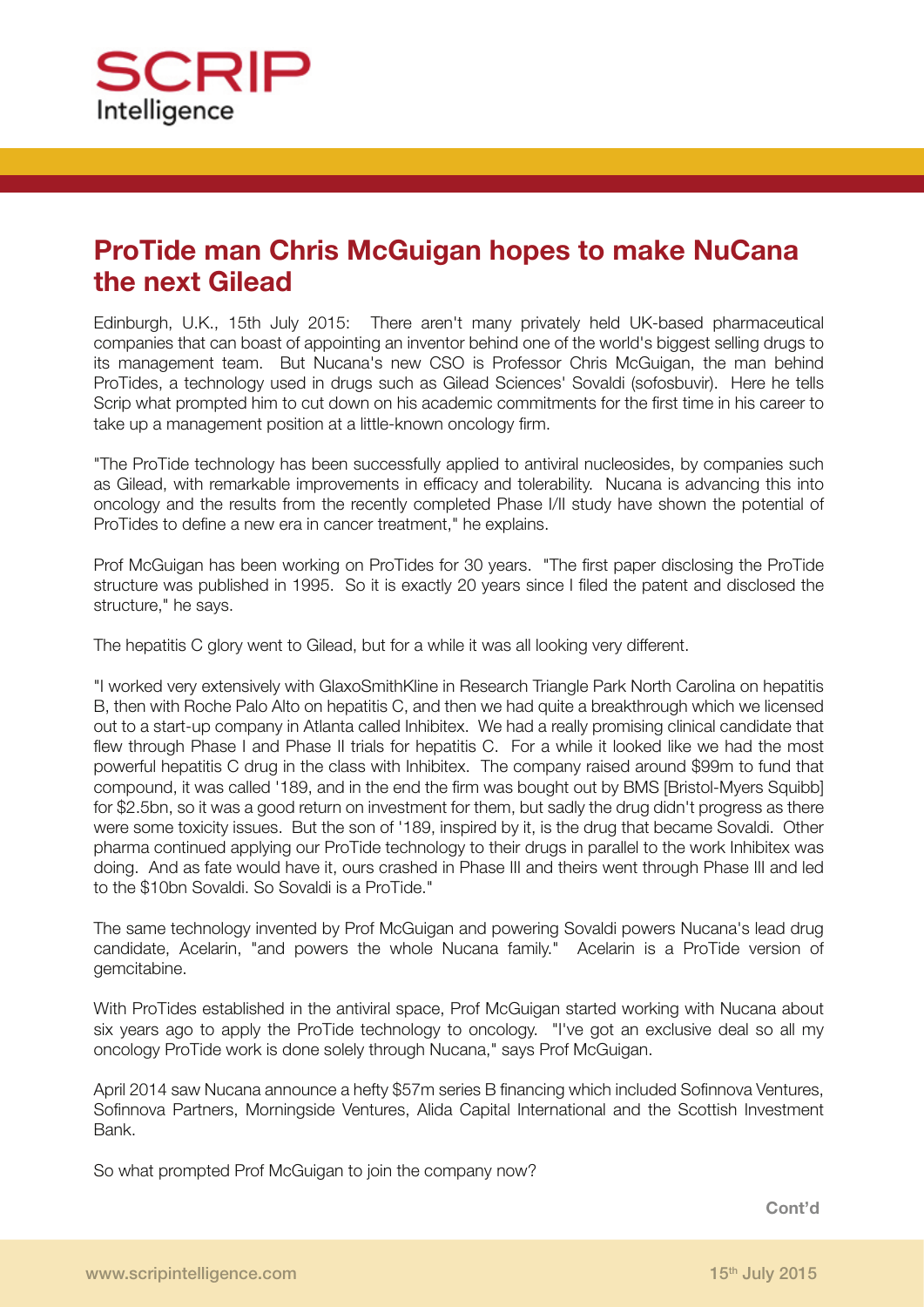

## **ProTide man Chris McGuigan hopes to make NuCana the next Gilead**

Edinburgh, U.K., 15th July 2015: There aren't many privately held UK-based pharmaceutical companies that can boast of appointing an inventor behind one of the world's biggest selling drugs to its management team. But Nucana's new CSO is Professor Chris McGuigan, the man behind ProTides, a technology used in drugs such as Gilead Sciences' Sovaldi (sofosbuvir). Here he tells Scrip what prompted him to cut down on his academic commitments for the first time in his career to take up a management position at a little-known oncology firm.

"The ProTide technology has been successfully applied to antiviral nucleosides, by companies such as Gilead, with remarkable improvements in efficacy and tolerability. Nucana is advancing this into oncology and the results from the recently completed Phase I/II study have shown the potential of ProTides to define a new era in cancer treatment," he explains.

Prof McGuigan has been working on ProTides for 30 years. "The first paper disclosing the ProTide structure was published in 1995. So it is exactly 20 years since I filed the patent and disclosed the structure," he says.

The hepatitis C glory went to Gilead, but for a while it was all looking very different.

"I worked very extensively with GlaxoSmithKline in Research Triangle Park North Carolina on hepatitis B, then with Roche Palo Alto on hepatitis C, and then we had quite a breakthrough which we licensed out to a start-up company in Atlanta called Inhibitex. We had a really promising clinical candidate that flew through Phase I and Phase II trials for hepatitis C. For a while it looked like we had the most powerful hepatitis C drug in the class with Inhibitex. The company raised around \$99m to fund that compound, it was called '189, and in the end the firm was bought out by BMS [Bristol-Myers Squibb] for \$2.5bn, so it was a good return on investment for them, but sadly the drug didn't progress as there were some toxicity issues. But the son of '189, inspired by it, is the drug that became Sovaldi. Other pharma continued applying our ProTide technology to their drugs in parallel to the work Inhibitex was doing. And as fate would have it, ours crashed in Phase III and theirs went through Phase III and led to the \$10bn Sovaldi. So Sovaldi is a ProTide."

The same technology invented by Prof McGuigan and powering Sovaldi powers Nucana's lead drug candidate, Acelarin, "and powers the whole Nucana family." Acelarin is a ProTide version of gemcitabine.

With ProTides established in the antiviral space, Prof McGuigan started working with Nucana about six years ago to apply the ProTide technology to oncology. "I've got an exclusive deal so all my oncology ProTide work is done solely through Nucana," says Prof McGuigan.

April 2014 saw Nucana announce a hefty \$57m series B financing which included Sofinnova Ventures, Sofinnova Partners, Morningside Ventures, Alida Capital International and the Scottish Investment Bank.

So what prompted Prof McGuigan to join the company now?

**Cont'd**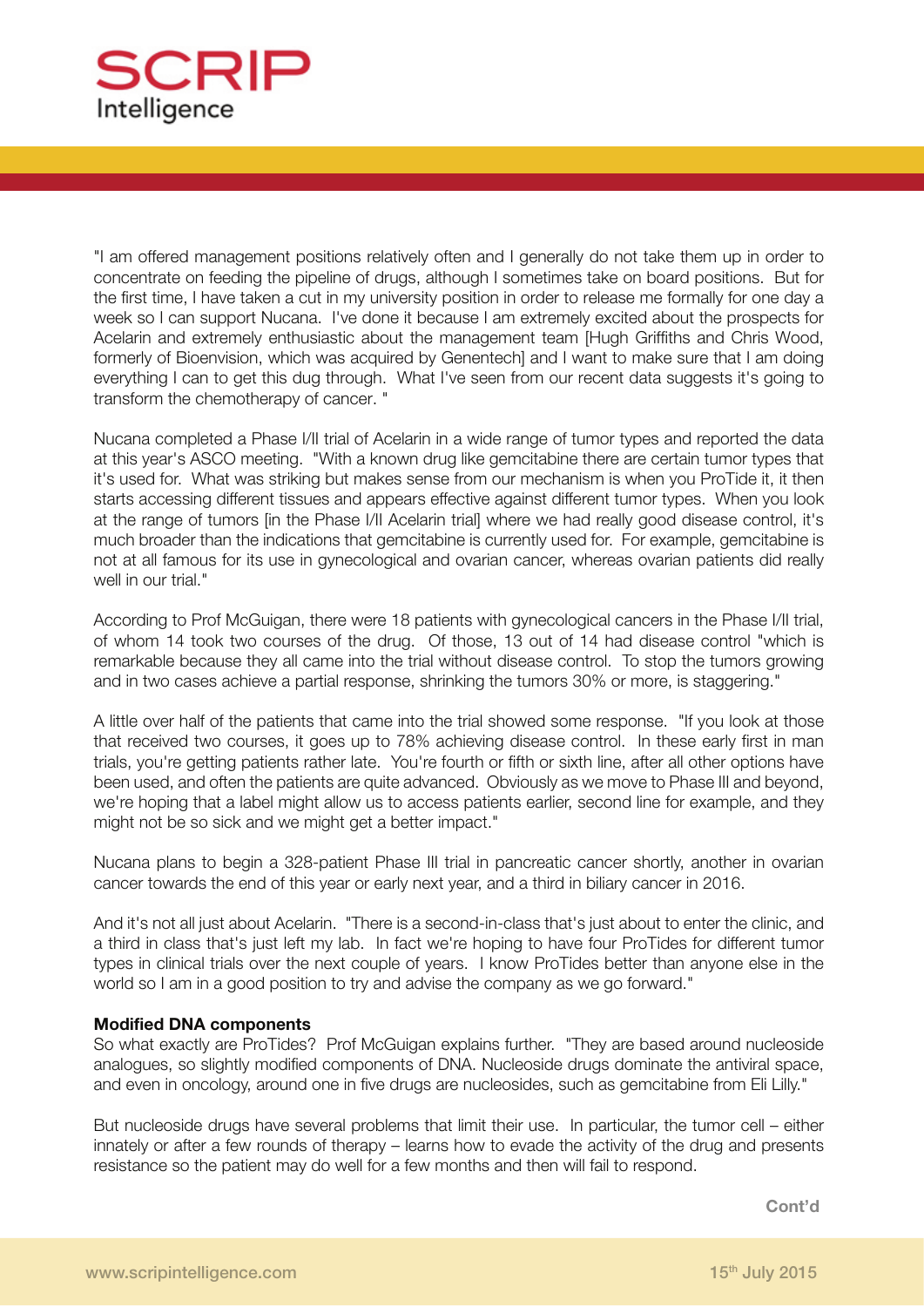

"I am offered management positions relatively often and I generally do not take them up in order to concentrate on feeding the pipeline of drugs, although I sometimes take on board positions. But for the first time, I have taken a cut in my university position in order to release me formally for one day a week so I can support Nucana. I've done it because I am extremely excited about the prospects for Acelarin and extremely enthusiastic about the management team [Hugh Griffiths and Chris Wood, formerly of Bioenvision, which was acquired by Genentech] and I want to make sure that I am doing everything I can to get this dug through. What I've seen from our recent data suggests it's going to transform the chemotherapy of cancer. "

Nucana completed a Phase I/II trial of Acelarin in a wide range of tumor types and reported the data at this year's ASCO meeting. "With a known drug like gemcitabine there are certain tumor types that it's used for. What was striking but makes sense from our mechanism is when you ProTide it, it then starts accessing different tissues and appears effective against different tumor types. When you look at the range of tumors [in the Phase I/II Acelarin trial] where we had really good disease control, it's much broader than the indications that gemcitabine is currently used for. For example, gemcitabine is not at all famous for its use in gynecological and ovarian cancer, whereas ovarian patients did really well in our trial."

According to Prof McGuigan, there were 18 patients with gynecological cancers in the Phase I/II trial, of whom 14 took two courses of the drug. Of those, 13 out of 14 had disease control "which is remarkable because they all came into the trial without disease control. To stop the tumors growing and in two cases achieve a partial response, shrinking the tumors 30% or more, is staggering."

A little over half of the patients that came into the trial showed some response. "If you look at those that received two courses, it goes up to 78% achieving disease control. In these early first in man trials, you're getting patients rather late. You're fourth or fifth or sixth line, after all other options have been used, and often the patients are quite advanced. Obviously as we move to Phase III and beyond, we're hoping that a label might allow us to access patients earlier, second line for example, and they might not be so sick and we might get a better impact."

Nucana plans to begin a 328-patient Phase III trial in pancreatic cancer shortly, another in ovarian cancer towards the end of this year or early next year, and a third in biliary cancer in 2016.

And it's not all just about Acelarin. "There is a second-in-class that's just about to enter the clinic, and a third in class that's just left my lab. In fact we're hoping to have four ProTides for different tumor types in clinical trials over the next couple of years. I know ProTides better than anyone else in the world so I am in a good position to try and advise the company as we go forward."

## **Modified DNA components**

So what exactly are ProTides? Prof McGuigan explains further. "They are based around nucleoside analogues, so slightly modified components of DNA. Nucleoside drugs dominate the antiviral space, and even in oncology, around one in five drugs are nucleosides, such as gemcitabine from Eli Lilly."

But nucleoside drugs have several problems that limit their use. In particular, the tumor cell – either innately or after a few rounds of therapy – learns how to evade the activity of the drug and presents resistance so the patient may do well for a few months and then will fail to respond.

**Cont'd**